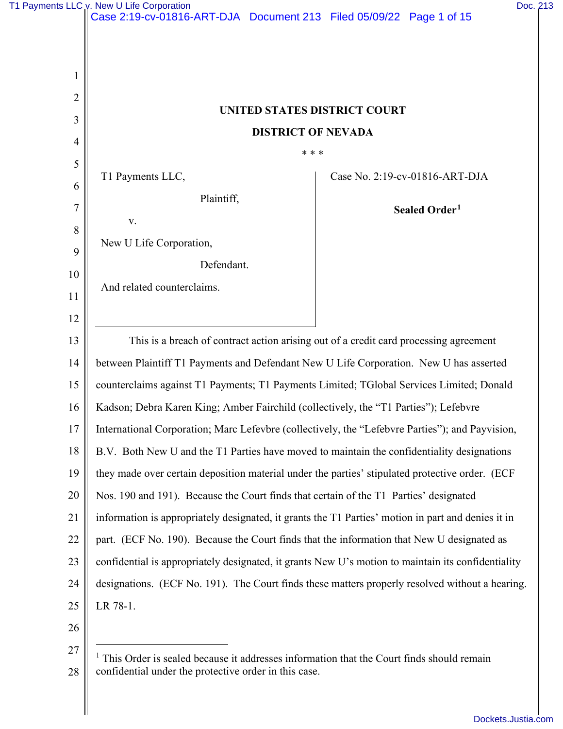| T1 Payments LLC v. New U Life Corporation | Doc. 213 |
|-------------------------------------------|----------|
|-------------------------------------------|----------|

|                | Case 2.19-CV-01610-ART-DJA - DOCUMENT 213 - FIIBU 03/09/22 - Page 1 01 13                                                                                                       |                                |  |  |  |
|----------------|---------------------------------------------------------------------------------------------------------------------------------------------------------------------------------|--------------------------------|--|--|--|
|                |                                                                                                                                                                                 |                                |  |  |  |
| 1              |                                                                                                                                                                                 |                                |  |  |  |
| $\overline{2}$ | UNITED STATES DISTRICT COURT<br><b>DISTRICT OF NEVADA</b>                                                                                                                       |                                |  |  |  |
| 3              |                                                                                                                                                                                 |                                |  |  |  |
| $\overline{4}$ | * * *                                                                                                                                                                           |                                |  |  |  |
| 5              | T1 Payments LLC,                                                                                                                                                                | Case No. 2:19-cv-01816-ART-DJA |  |  |  |
| 6              | Plaintiff,                                                                                                                                                                      |                                |  |  |  |
| 7              | V.                                                                                                                                                                              | Sealed Order <sup>1</sup>      |  |  |  |
| 8<br>9         | New U Life Corporation,                                                                                                                                                         |                                |  |  |  |
| 10             | Defendant.                                                                                                                                                                      |                                |  |  |  |
| 11             | And related counterclaims.                                                                                                                                                      |                                |  |  |  |
| 12             |                                                                                                                                                                                 |                                |  |  |  |
| 13             |                                                                                                                                                                                 |                                |  |  |  |
| 14             | This is a breach of contract action arising out of a credit card processing agreement<br>between Plaintiff T1 Payments and Defendant New U Life Corporation. New U has asserted |                                |  |  |  |
| 15             | counterclaims against T1 Payments; T1 Payments Limited; TGlobal Services Limited; Donald                                                                                        |                                |  |  |  |
| 16             | Kadson; Debra Karen King; Amber Fairchild (collectively, the "T1 Parties"); Lefebvre                                                                                            |                                |  |  |  |
| 17             | International Corporation; Marc Lefevbre (collectively, the "Lefebvre Parties"); and Payvision,                                                                                 |                                |  |  |  |
| 18             | B.V. Both New U and the T1 Parties have moved to maintain the confidentiality designations                                                                                      |                                |  |  |  |
| 19             | they made over certain deposition material under the parties' stipulated protective order. (ECF                                                                                 |                                |  |  |  |
| 20             | Nos. 190 and 191). Because the Court finds that certain of the T1 Parties' designated                                                                                           |                                |  |  |  |
| 21             | information is appropriately designated, it grants the T1 Parties' motion in part and denies it in                                                                              |                                |  |  |  |
| 22             | part. (ECF No. 190). Because the Court finds that the information that New U designated as                                                                                      |                                |  |  |  |
| 23             | confidential is appropriately designated, it grants New U's motion to maintain its confidentiality                                                                              |                                |  |  |  |
| 24             | designations. (ECF No. 191). The Court finds these matters properly resolved without a hearing.                                                                                 |                                |  |  |  |
| 25             | LR 78-1.                                                                                                                                                                        |                                |  |  |  |
| 26             |                                                                                                                                                                                 |                                |  |  |  |
| 27             |                                                                                                                                                                                 |                                |  |  |  |

<span id="page-0-0"></span><sup>28</sup>  <sup>1</sup> This Order is sealed because it addresses information that the Court finds should remain confidential under the protective order in this case.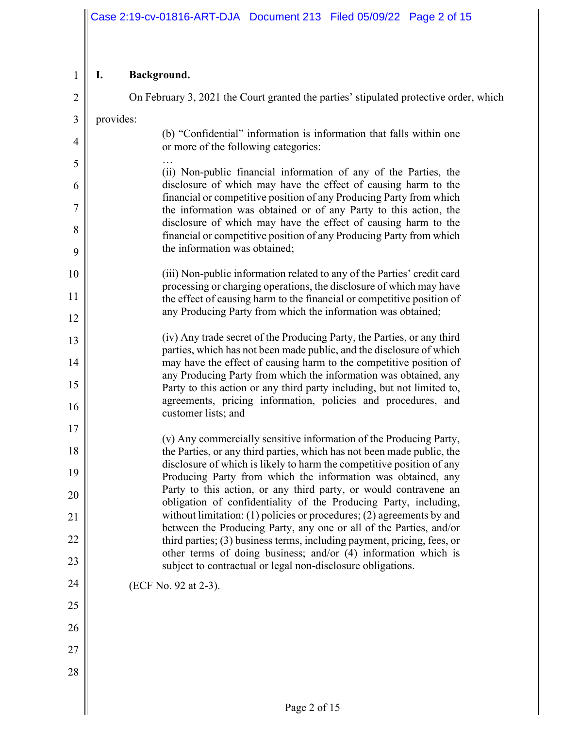#### $1 \parallel L$ **I. Background.**

| $\overline{2}$ | On February 3, 2021 the Court granted the parties' stipulated protective order, which                                                         |  |  |  |  |
|----------------|-----------------------------------------------------------------------------------------------------------------------------------------------|--|--|--|--|
| $\mathfrak{Z}$ | provides:                                                                                                                                     |  |  |  |  |
| $\overline{4}$ | (b) "Confidential" information is information that falls within one<br>or more of the following categories:                                   |  |  |  |  |
| 5              | (ii) Non-public financial information of any of the Parties, the                                                                              |  |  |  |  |
| 6              | disclosure of which may have the effect of causing harm to the<br>financial or competitive position of any Producing Party from which         |  |  |  |  |
| $\overline{7}$ | the information was obtained or of any Party to this action, the                                                                              |  |  |  |  |
| 8              | disclosure of which may have the effect of causing harm to the<br>financial or competitive position of any Producing Party from which         |  |  |  |  |
| 9              | the information was obtained;                                                                                                                 |  |  |  |  |
| 10             | (iii) Non-public information related to any of the Parties' credit card                                                                       |  |  |  |  |
| 11             | processing or charging operations, the disclosure of which may have<br>the effect of causing harm to the financial or competitive position of |  |  |  |  |
| 12             | any Producing Party from which the information was obtained;                                                                                  |  |  |  |  |
| 13             | (iv) Any trade secret of the Producing Party, the Parties, or any third                                                                       |  |  |  |  |
| 14             | parties, which has not been made public, and the disclosure of which<br>may have the effect of causing harm to the competitive position of    |  |  |  |  |
| 15             | any Producing Party from which the information was obtained, any<br>Party to this action or any third party including, but not limited to,    |  |  |  |  |
| 16             | agreements, pricing information, policies and procedures, and                                                                                 |  |  |  |  |
| 17             | customer lists; and                                                                                                                           |  |  |  |  |
| 18             | (v) Any commercially sensitive information of the Producing Party,<br>the Parties, or any third parties, which has not been made public, the  |  |  |  |  |
| 19             | disclosure of which is likely to harm the competitive position of any<br>Producing Party from which the information was obtained, any         |  |  |  |  |
| 20             | Party to this action, or any third party, or would contravene an<br>obligation of confidentiality of the Producing Party, including,          |  |  |  |  |
| 21             | without limitation: $(1)$ policies or procedures; $(2)$ agreements by and                                                                     |  |  |  |  |
| 22             | between the Producing Party, any one or all of the Parties, and/or<br>third parties; (3) business terms, including payment, pricing, fees, or |  |  |  |  |
| 23             | other terms of doing business; and/or (4) information which is<br>subject to contractual or legal non-disclosure obligations.                 |  |  |  |  |
| 24             | (ECF No. 92 at 2-3).                                                                                                                          |  |  |  |  |
| 25             |                                                                                                                                               |  |  |  |  |
| 26             |                                                                                                                                               |  |  |  |  |
| 27             |                                                                                                                                               |  |  |  |  |
| 28             |                                                                                                                                               |  |  |  |  |
|                |                                                                                                                                               |  |  |  |  |
|                | Page 2 of 15                                                                                                                                  |  |  |  |  |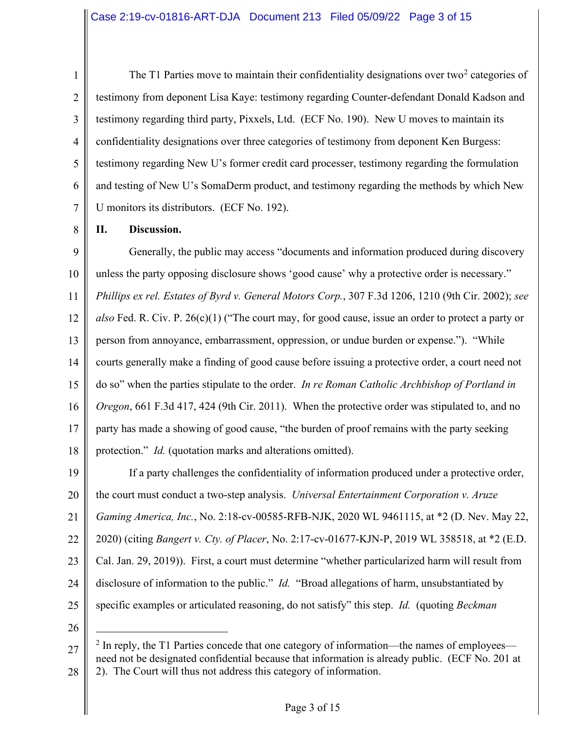1 2 3 4 5 6 7 The T1 Parties move to maintain their confidentiality designations over two<sup>[2](#page-2-0)</sup> categories of testimony from deponent Lisa Kaye: testimony regarding Counter-defendant Donald Kadson and testimony regarding third party, Pixxels, Ltd. (ECF No. 190). New U moves to maintain its confidentiality designations over three categories of testimony from deponent Ken Burgess: testimony regarding New U's former credit card processer, testimony regarding the formulation and testing of New U's SomaDerm product, and testimony regarding the methods by which New U monitors its distributors. (ECF No. 192).

8

## **II. Discussion.**

9 10 11 12 13 14 15 16 17 18 Generally, the public may access "documents and information produced during discovery unless the party opposing disclosure shows 'good cause' why a protective order is necessary." *Phillips ex rel. Estates of Byrd v. General Motors Corp.*, 307 F.3d 1206, 1210 (9th Cir. 2002); *see also* Fed. R. Civ. P. 26(c)(1) ("The court may, for good cause, issue an order to protect a party or person from annoyance, embarrassment, oppression, or undue burden or expense."). "While courts generally make a finding of good cause before issuing a protective order, a court need not do so" when the parties stipulate to the order. *In re Roman Catholic Archbishop of Portland in Oregon*, 661 F.3d 417, 424 (9th Cir. 2011). When the protective order was stipulated to, and no party has made a showing of good cause, "the burden of proof remains with the party seeking protection." *Id.* (quotation marks and alterations omitted).

19 20 21 22 23 24 25 If a party challenges the confidentiality of information produced under a protective order, the court must conduct a two-step analysis. *Universal Entertainment Corporation v. Aruze Gaming America, Inc.*, No. 2:18-cv-00585-RFB-NJK, 2020 WL 9461115, at \*2 (D. Nev. May 22, 2020) (citing *Bangert v. Cty. of Placer*, No. 2:17-cv-01677-KJN-P, 2019 WL 358518, at \*2 (E.D. Cal. Jan. 29, 2019)). First, a court must determine "whether particularized harm will result from disclosure of information to the public." *Id.* "Broad allegations of harm, unsubstantiated by specific examples or articulated reasoning, do not satisfy" this step. *Id.* (quoting *Beckman* 

26

<span id="page-2-0"></span><sup>27</sup>  28  $2$  In reply, the T1 Parties concede that one category of information—the names of employees need not be designated confidential because that information is already public. (ECF No. 201 at 2). The Court will thus not address this category of information.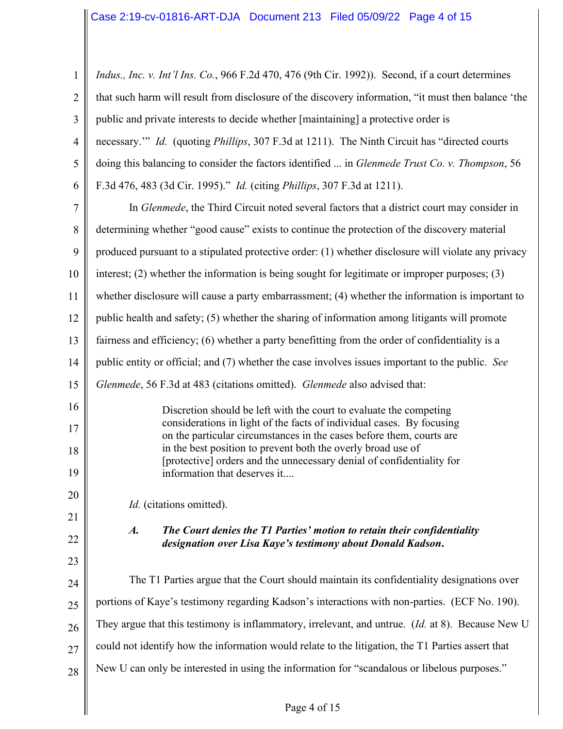| $\mathbf{1}$   | Indus., Inc. v. Int'l Ins. Co., 966 F.2d 470, 476 (9th Cir. 1992)). Second, if a court determines                                                            |  |  |  |  |
|----------------|--------------------------------------------------------------------------------------------------------------------------------------------------------------|--|--|--|--|
| $\overline{2}$ | that such harm will result from disclosure of the discovery information, "it must then balance 'the                                                          |  |  |  |  |
| $\mathfrak{Z}$ | public and private interests to decide whether [maintaining] a protective order is                                                                           |  |  |  |  |
| 4              | necessary." <i>Id.</i> (quoting <i>Phillips</i> , 307 F.3d at 1211). The Ninth Circuit has "directed courts                                                  |  |  |  |  |
| 5              | doing this balancing to consider the factors identified  in Glenmede Trust Co. v. Thompson, 56                                                               |  |  |  |  |
| 6              | F.3d 476, 483 (3d Cir. 1995)." Id. (citing Phillips, 307 F.3d at 1211).                                                                                      |  |  |  |  |
| 7              | In Glenmede, the Third Circuit noted several factors that a district court may consider in                                                                   |  |  |  |  |
| 8              | determining whether "good cause" exists to continue the protection of the discovery material                                                                 |  |  |  |  |
| 9              | produced pursuant to a stipulated protective order: (1) whether disclosure will violate any privacy                                                          |  |  |  |  |
| 10             | interest; $(2)$ whether the information is being sought for legitimate or improper purposes; $(3)$                                                           |  |  |  |  |
| 11             | whether disclosure will cause a party embarrassment; (4) whether the information is important to                                                             |  |  |  |  |
| 12             | public health and safety; (5) whether the sharing of information among litigants will promote                                                                |  |  |  |  |
| 13             | fairness and efficiency; (6) whether a party benefitting from the order of confidentiality is a                                                              |  |  |  |  |
| 14             | public entity or official; and (7) whether the case involves issues important to the public. See                                                             |  |  |  |  |
| 15             | Glenmede, 56 F.3d at 483 (citations omitted). Glenmede also advised that:                                                                                    |  |  |  |  |
| 16             | Discretion should be left with the court to evaluate the competing                                                                                           |  |  |  |  |
| 17             | considerations in light of the facts of individual cases. By focusing<br>on the particular circumstances in the cases before them, courts are                |  |  |  |  |
| 18             | in the best position to prevent both the overly broad use of<br>[protective] orders and the unnecessary denial of confidentiality for                        |  |  |  |  |
| 19             | information that deserves it                                                                                                                                 |  |  |  |  |
| 20             |                                                                                                                                                              |  |  |  |  |
|                |                                                                                                                                                              |  |  |  |  |
| 21             | Id. (citations omitted).                                                                                                                                     |  |  |  |  |
| 22             | $\boldsymbol{A}$ .<br>The Court denies the T1 Parties' motion to retain their confidentiality<br>designation over Lisa Kaye's testimony about Donald Kadson. |  |  |  |  |
| 23             |                                                                                                                                                              |  |  |  |  |
| 24             | The T1 Parties argue that the Court should maintain its confidentiality designations over                                                                    |  |  |  |  |
| 25             | portions of Kaye's testimony regarding Kadson's interactions with non-parties. (ECF No. 190).                                                                |  |  |  |  |
| 26             | They argue that this testimony is inflammatory, irrelevant, and untrue. (Id. at 8). Because New U                                                            |  |  |  |  |
| 27             | could not identify how the information would relate to the litigation, the T1 Parties assert that                                                            |  |  |  |  |

 $\mathsf{I}$ 

 $\mathop{||}$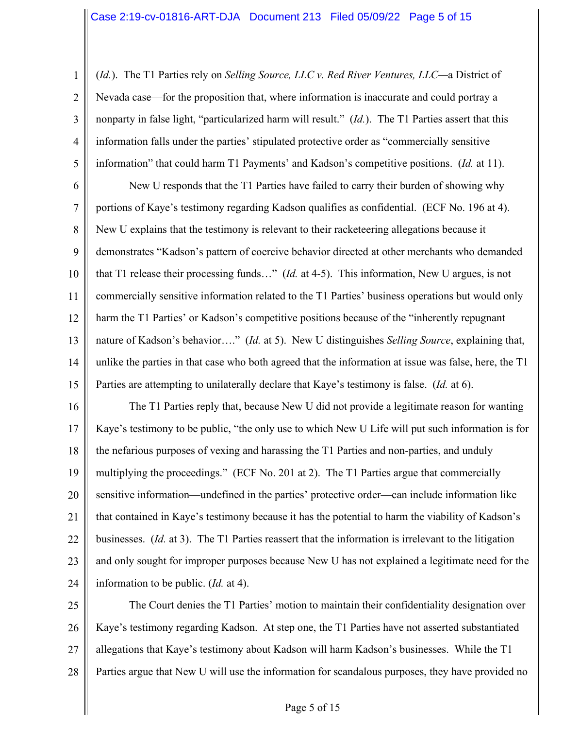1 2 3 4 5 (*Id.*). The T1 Parties rely on *Selling Source, LLC v. Red River Ventures, LLC—*a District of Nevada case—for the proposition that, where information is inaccurate and could portray a nonparty in false light, "particularized harm will result." (*Id.*). The T1 Parties assert that this information falls under the parties' stipulated protective order as "commercially sensitive information" that could harm T1 Payments' and Kadson's competitive positions. (*Id.* at 11).

6 7 8 9 10 11 12 13 14 15 New U responds that the T1 Parties have failed to carry their burden of showing why portions of Kaye's testimony regarding Kadson qualifies as confidential. (ECF No. 196 at 4). New U explains that the testimony is relevant to their racketeering allegations because it demonstrates "Kadson's pattern of coercive behavior directed at other merchants who demanded that T1 release their processing funds…" (*Id.* at 4-5). This information, New U argues, is not commercially sensitive information related to the T1 Parties' business operations but would only harm the T1 Parties' or Kadson's competitive positions because of the "inherently repugnant nature of Kadson's behavior…." (*Id.* at 5). New U distinguishes *Selling Source*, explaining that, unlike the parties in that case who both agreed that the information at issue was false, here, the T1 Parties are attempting to unilaterally declare that Kaye's testimony is false. (*Id.* at 6).

16 17 18 19 20 21 22 23 24 The T1 Parties reply that, because New U did not provide a legitimate reason for wanting Kaye's testimony to be public, "the only use to which New U Life will put such information is for the nefarious purposes of vexing and harassing the T1 Parties and non-parties, and unduly multiplying the proceedings." (ECF No. 201 at 2). The T1 Parties argue that commercially sensitive information—undefined in the parties' protective order—can include information like that contained in Kaye's testimony because it has the potential to harm the viability of Kadson's businesses. (*Id.* at 3). The T1 Parties reassert that the information is irrelevant to the litigation and only sought for improper purposes because New U has not explained a legitimate need for the information to be public. (*Id.* at 4).

25 26 27 28 The Court denies the T1 Parties' motion to maintain their confidentiality designation over Kaye's testimony regarding Kadson. At step one, the T1 Parties have not asserted substantiated allegations that Kaye's testimony about Kadson will harm Kadson's businesses. While the T1 Parties argue that New U will use the information for scandalous purposes, they have provided no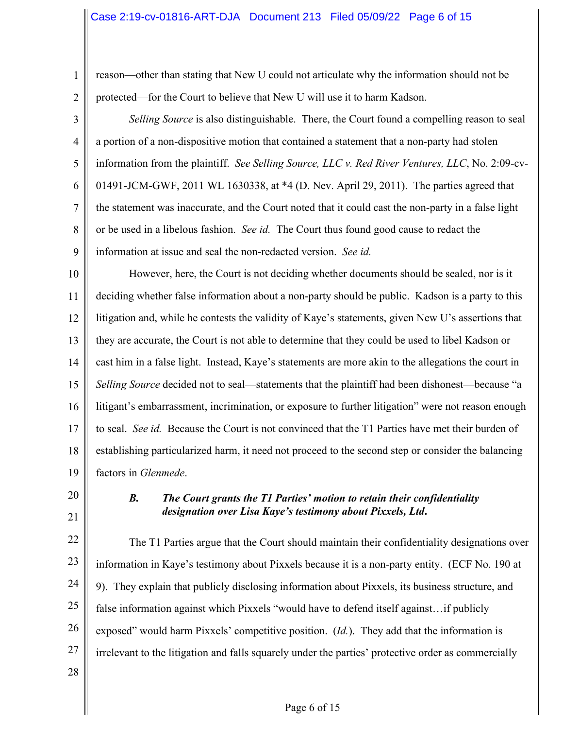1 2 reason—other than stating that New U could not articulate why the information should not be protected—for the Court to believe that New U will use it to harm Kadson.

3 4 5 6 7 8 9 *Selling Source* is also distinguishable. There, the Court found a compelling reason to seal a portion of a non-dispositive motion that contained a statement that a non-party had stolen information from the plaintiff. *See Selling Source, LLC v. Red River Ventures, LLC*, No. 2:09-cv-01491-JCM-GWF, 2011 WL 1630338, at \*4 (D. Nev. April 29, 2011). The parties agreed that the statement was inaccurate, and the Court noted that it could cast the non-party in a false light or be used in a libelous fashion. *See id.* The Court thus found good cause to redact the information at issue and seal the non-redacted version. *See id.* 

10 11 12 13 14 15 16 17 18 19 However, here, the Court is not deciding whether documents should be sealed, nor is it deciding whether false information about a non-party should be public. Kadson is a party to this litigation and, while he contests the validity of Kaye's statements, given New U's assertions that they are accurate, the Court is not able to determine that they could be used to libel Kadson or cast him in a false light. Instead, Kaye's statements are more akin to the allegations the court in *Selling Source* decided not to seal—statements that the plaintiff had been dishonest—because "a litigant's embarrassment, incrimination, or exposure to further litigation" were not reason enough to seal. *See id.* Because the Court is not convinced that the T1 Parties have met their burden of establishing particularized harm, it need not proceed to the second step or consider the balancing factors in *Glenmede*.

20

21

## *B. The Court grants the T1 Parties' motion to retain their confidentiality designation over Lisa Kaye's testimony about Pixxels, Ltd***.**

22 23 24 25 26 27 28 The T1 Parties argue that the Court should maintain their confidentiality designations over information in Kaye's testimony about Pixxels because it is a non-party entity. (ECF No. 190 at 9). They explain that publicly disclosing information about Pixxels, its business structure, and false information against which Pixxels "would have to defend itself against... if publicly exposed" would harm Pixxels' competitive position. (*Id.*). They add that the information is irrelevant to the litigation and falls squarely under the parties' protective order as commercially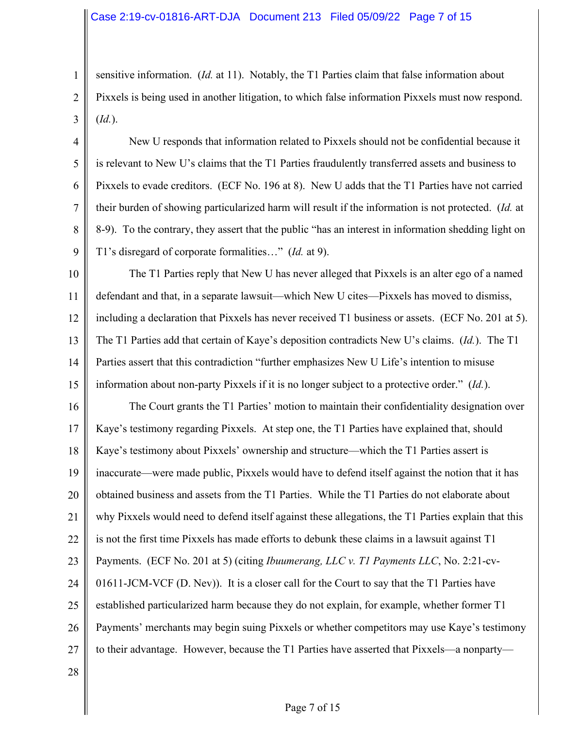sensitive information. (*Id.* at 11). Notably, the T1 Parties claim that false information about Pixxels is being used in another litigation, to which false information Pixxels must now respond. (*Id.*).

4 5 6 7 8 9 New U responds that information related to Pixxels should not be confidential because it is relevant to New U's claims that the T1 Parties fraudulently transferred assets and business to Pixxels to evade creditors. (ECF No. 196 at 8). New U adds that the T1 Parties have not carried their burden of showing particularized harm will result if the information is not protected. (*Id.* at 8-9). To the contrary, they assert that the public "has an interest in information shedding light on T1's disregard of corporate formalities…" (*Id.* at 9).

10 11 12 13 14 15 The T1 Parties reply that New U has never alleged that Pixxels is an alter ego of a named defendant and that, in a separate lawsuit—which New U cites—Pixxels has moved to dismiss, including a declaration that Pixxels has never received T1 business or assets. (ECF No. 201 at 5). The T1 Parties add that certain of Kaye's deposition contradicts New U's claims. (*Id.*). The T1 Parties assert that this contradiction "further emphasizes New U Life's intention to misuse information about non-party Pixxels if it is no longer subject to a protective order." (*Id.*).

16 17 18 19 20 21 22 23 24 25 26 27 The Court grants the T1 Parties' motion to maintain their confidentiality designation over Kaye's testimony regarding Pixxels. At step one, the T1 Parties have explained that, should Kaye's testimony about Pixxels' ownership and structure—which the T1 Parties assert is inaccurate—were made public, Pixxels would have to defend itself against the notion that it has obtained business and assets from the T1 Parties. While the T1 Parties do not elaborate about why Pixxels would need to defend itself against these allegations, the T1 Parties explain that this is not the first time Pixxels has made efforts to debunk these claims in a lawsuit against T1 Payments. (ECF No. 201 at 5) (citing *Ibuumerang, LLC v. T1 Payments LLC*, No. 2:21-cv-01611-JCM-VCF (D. Nev)). It is a closer call for the Court to say that the T1 Parties have established particularized harm because they do not explain, for example, whether former T1 Payments' merchants may begin suing Pixxels or whether competitors may use Kaye's testimony to their advantage. However, because the T1 Parties have asserted that Pixxels—a nonparty—

28

1

2

3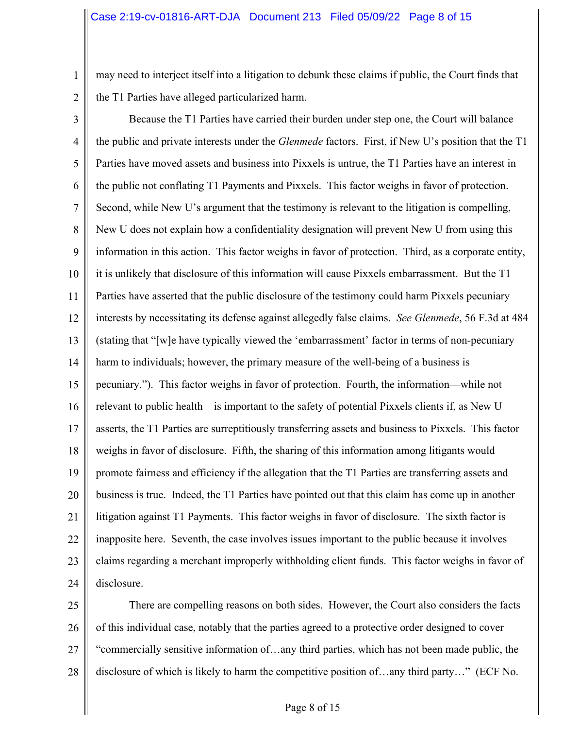1 may need to interject itself into a litigation to debunk these claims if public, the Court finds that the T1 Parties have alleged particularized harm.

2

3 4 5 6 7 8 9 10 11 12 13 14 15 16 17 18 19 20 21 22 23 24 Because the T1 Parties have carried their burden under step one, the Court will balance the public and private interests under the *Glenmede* factors. First, if New U's position that the T1 Parties have moved assets and business into Pixxels is untrue, the T1 Parties have an interest in the public not conflating T1 Payments and Pixxels. This factor weighs in favor of protection. Second, while New U's argument that the testimony is relevant to the litigation is compelling, New U does not explain how a confidentiality designation will prevent New U from using this information in this action. This factor weighs in favor of protection. Third, as a corporate entity, it is unlikely that disclosure of this information will cause Pixxels embarrassment. But the T1 Parties have asserted that the public disclosure of the testimony could harm Pixxels pecuniary interests by necessitating its defense against allegedly false claims. *See Glenmede*, 56 F.3d at 484 (stating that "[w]e have typically viewed the 'embarrassment' factor in terms of non-pecuniary harm to individuals; however, the primary measure of the well-being of a business is pecuniary."). This factor weighs in favor of protection. Fourth, the information—while not relevant to public health—is important to the safety of potential Pixxels clients if, as New U asserts, the T1 Parties are surreptitiously transferring assets and business to Pixxels. This factor weighs in favor of disclosure. Fifth, the sharing of this information among litigants would promote fairness and efficiency if the allegation that the T1 Parties are transferring assets and business is true. Indeed, the T1 Parties have pointed out that this claim has come up in another litigation against T1 Payments. This factor weighs in favor of disclosure. The sixth factor is inapposite here. Seventh, the case involves issues important to the public because it involves claims regarding a merchant improperly withholding client funds. This factor weighs in favor of disclosure.

25 26 27 28 There are compelling reasons on both sides. However, the Court also considers the facts of this individual case, notably that the parties agreed to a protective order designed to cover "commercially sensitive information of…any third parties, which has not been made public, the disclosure of which is likely to harm the competitive position of…any third party…" (ECF No.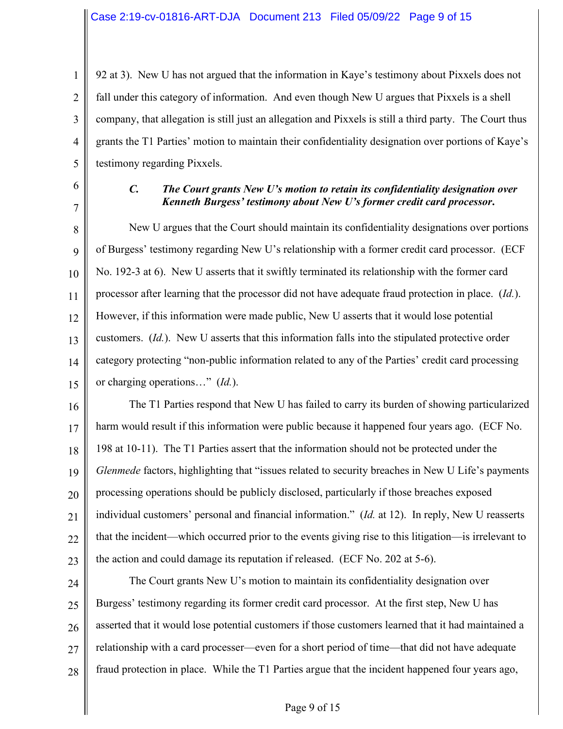1 2 3 4 5 92 at 3). New U has not argued that the information in Kaye's testimony about Pixxels does not fall under this category of information. And even though New U argues that Pixxels is a shell company, that allegation is still just an allegation and Pixxels is still a third party. The Court thus grants the T1 Parties' motion to maintain their confidentiality designation over portions of Kaye's testimony regarding Pixxels.

6 7

### *C. The Court grants New U's motion to retain its confidentiality designation over Kenneth Burgess' testimony about New U's former credit card processor***.**

8 9 10 11 12 13 14 15 New U argues that the Court should maintain its confidentiality designations over portions of Burgess' testimony regarding New U's relationship with a former credit card processor. (ECF No. 192-3 at 6). New U asserts that it swiftly terminated its relationship with the former card processor after learning that the processor did not have adequate fraud protection in place. (*Id.*). However, if this information were made public, New U asserts that it would lose potential customers. (*Id.*). New U asserts that this information falls into the stipulated protective order category protecting "non-public information related to any of the Parties' credit card processing or charging operations…" (*Id.*).

16 17 18 19 20 21 22 23 The T1 Parties respond that New U has failed to carry its burden of showing particularized harm would result if this information were public because it happened four years ago. (ECF No. 198 at 10-11). The T1 Parties assert that the information should not be protected under the *Glenmede* factors, highlighting that "issues related to security breaches in New U Life's payments processing operations should be publicly disclosed, particularly if those breaches exposed individual customers' personal and financial information." (*Id.* at 12). In reply, New U reasserts that the incident—which occurred prior to the events giving rise to this litigation—is irrelevant to the action and could damage its reputation if released. (ECF No. 202 at 5-6).

24 25 26 27 28 The Court grants New U's motion to maintain its confidentiality designation over Burgess' testimony regarding its former credit card processor. At the first step, New U has asserted that it would lose potential customers if those customers learned that it had maintained a relationship with a card processer—even for a short period of time—that did not have adequate fraud protection in place. While the T1 Parties argue that the incident happened four years ago,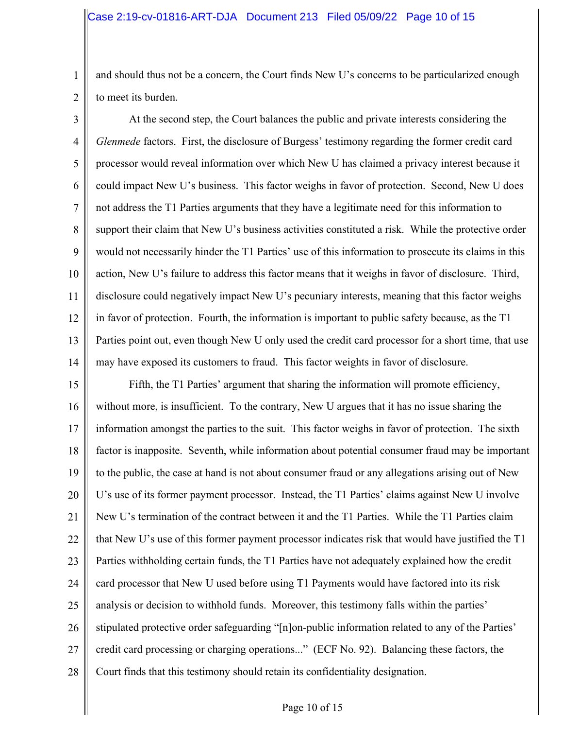1 2 and should thus not be a concern, the Court finds New U's concerns to be particularized enough to meet its burden.

3 4 5 6 7 8 9 10 11 12 13 14 At the second step, the Court balances the public and private interests considering the *Glenmede* factors. First, the disclosure of Burgess' testimony regarding the former credit card processor would reveal information over which New U has claimed a privacy interest because it could impact New U's business. This factor weighs in favor of protection. Second, New U does not address the T1 Parties arguments that they have a legitimate need for this information to support their claim that New U's business activities constituted a risk. While the protective order would not necessarily hinder the T1 Parties' use of this information to prosecute its claims in this action, New U's failure to address this factor means that it weighs in favor of disclosure. Third, disclosure could negatively impact New U's pecuniary interests, meaning that this factor weighs in favor of protection. Fourth, the information is important to public safety because, as the T1 Parties point out, even though New U only used the credit card processor for a short time, that use may have exposed its customers to fraud. This factor weights in favor of disclosure.

15 16 17 18 19 20 21 22 23 24 25 26 27 28 Fifth, the T1 Parties' argument that sharing the information will promote efficiency, without more, is insufficient. To the contrary, New U argues that it has no issue sharing the information amongst the parties to the suit. This factor weighs in favor of protection. The sixth factor is inapposite. Seventh, while information about potential consumer fraud may be important to the public, the case at hand is not about consumer fraud or any allegations arising out of New U's use of its former payment processor. Instead, the T1 Parties' claims against New U involve New U's termination of the contract between it and the T1 Parties. While the T1 Parties claim that New U's use of this former payment processor indicates risk that would have justified the T1 Parties withholding certain funds, the T1 Parties have not adequately explained how the credit card processor that New U used before using T1 Payments would have factored into its risk analysis or decision to withhold funds. Moreover, this testimony falls within the parties' stipulated protective order safeguarding "[n]on-public information related to any of the Parties' credit card processing or charging operations..." (ECF No. 92). Balancing these factors, the Court finds that this testimony should retain its confidentiality designation.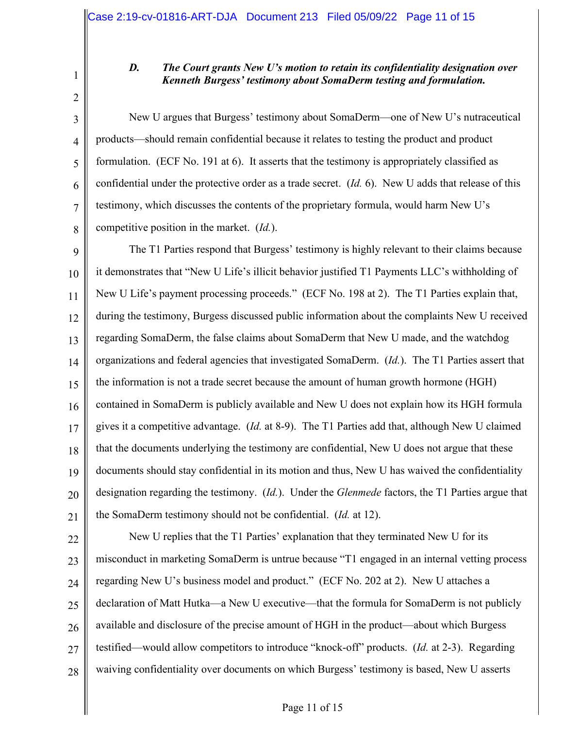1 2

3

4

5

6

7

8

# *D. The Court grants New U's motion to retain its confidentiality designation over Kenneth Burgess' testimony about SomaDerm testing and formulation.*

New U argues that Burgess' testimony about SomaDerm—one of New U's nutraceutical products—should remain confidential because it relates to testing the product and product formulation. (ECF No. 191 at 6). It asserts that the testimony is appropriately classified as confidential under the protective order as a trade secret. (*Id.* 6). New U adds that release of this testimony, which discusses the contents of the proprietary formula, would harm New U's competitive position in the market. (*Id.*).

9 10 11 12 13 14 15 16 17 18 19 20 21 The T1 Parties respond that Burgess' testimony is highly relevant to their claims because it demonstrates that "New U Life's illicit behavior justified T1 Payments LLC's withholding of New U Life's payment processing proceeds." (ECF No. 198 at 2). The T1 Parties explain that, during the testimony, Burgess discussed public information about the complaints New U received regarding SomaDerm, the false claims about SomaDerm that New U made, and the watchdog organizations and federal agencies that investigated SomaDerm. (*Id.*). The T1 Parties assert that the information is not a trade secret because the amount of human growth hormone (HGH) contained in SomaDerm is publicly available and New U does not explain how its HGH formula gives it a competitive advantage. (*Id.* at 8-9). The T1 Parties add that, although New U claimed that the documents underlying the testimony are confidential, New U does not argue that these documents should stay confidential in its motion and thus, New U has waived the confidentiality designation regarding the testimony. (*Id.*). Under the *Glenmede* factors, the T1 Parties argue that the SomaDerm testimony should not be confidential. (*Id.* at 12).

22 23 24 25 26 27 28 New U replies that the T1 Parties' explanation that they terminated New U for its misconduct in marketing SomaDerm is untrue because "T1 engaged in an internal vetting process regarding New U's business model and product." (ECF No. 202 at 2). New U attaches a declaration of Matt Hutka—a New U executive—that the formula for SomaDerm is not publicly available and disclosure of the precise amount of HGH in the product—about which Burgess testified—would allow competitors to introduce "knock-off" products. (*Id.* at 2-3). Regarding waiving confidentiality over documents on which Burgess' testimony is based, New U asserts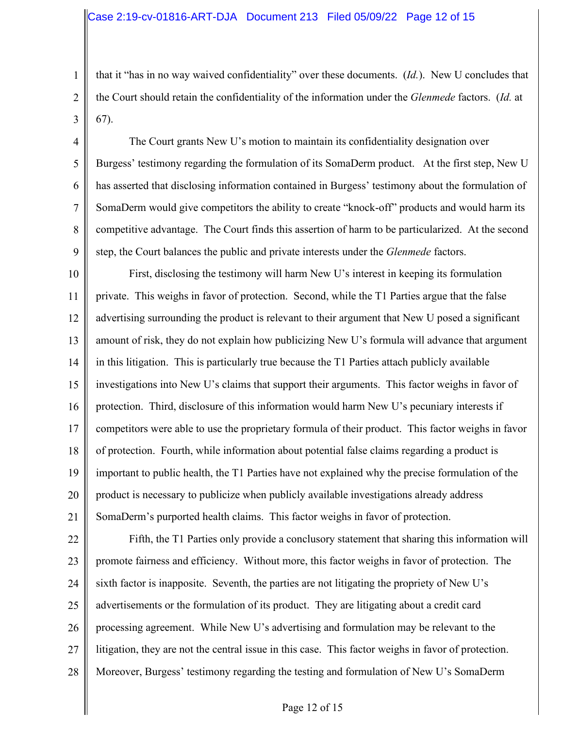1

2

3

4

5

6

7

8

9

that it "has in no way waived confidentiality" over these documents. (*Id.*). New U concludes that the Court should retain the confidentiality of the information under the *Glenmede* factors. (*Id.* at 67).

The Court grants New U's motion to maintain its confidentiality designation over Burgess' testimony regarding the formulation of its SomaDerm product. At the first step, New U has asserted that disclosing information contained in Burgess' testimony about the formulation of SomaDerm would give competitors the ability to create "knock-off" products and would harm its competitive advantage. The Court finds this assertion of harm to be particularized. At the second step, the Court balances the public and private interests under the *Glenmede* factors.

10 11 12 13 14 15 16 17 18 19 20 21 First, disclosing the testimony will harm New U's interest in keeping its formulation private. This weighs in favor of protection. Second, while the T1 Parties argue that the false advertising surrounding the product is relevant to their argument that New U posed a significant amount of risk, they do not explain how publicizing New U's formula will advance that argument in this litigation. This is particularly true because the T1 Parties attach publicly available investigations into New U's claims that support their arguments. This factor weighs in favor of protection. Third, disclosure of this information would harm New U's pecuniary interests if competitors were able to use the proprietary formula of their product. This factor weighs in favor of protection. Fourth, while information about potential false claims regarding a product is important to public health, the T1 Parties have not explained why the precise formulation of the product is necessary to publicize when publicly available investigations already address SomaDerm's purported health claims. This factor weighs in favor of protection.

22 23 24 25 26 27 28 Fifth, the T1 Parties only provide a conclusory statement that sharing this information will promote fairness and efficiency. Without more, this factor weighs in favor of protection. The sixth factor is inapposite. Seventh, the parties are not litigating the propriety of New U's advertisements or the formulation of its product. They are litigating about a credit card processing agreement. While New U's advertising and formulation may be relevant to the litigation, they are not the central issue in this case. This factor weighs in favor of protection. Moreover, Burgess' testimony regarding the testing and formulation of New U's SomaDerm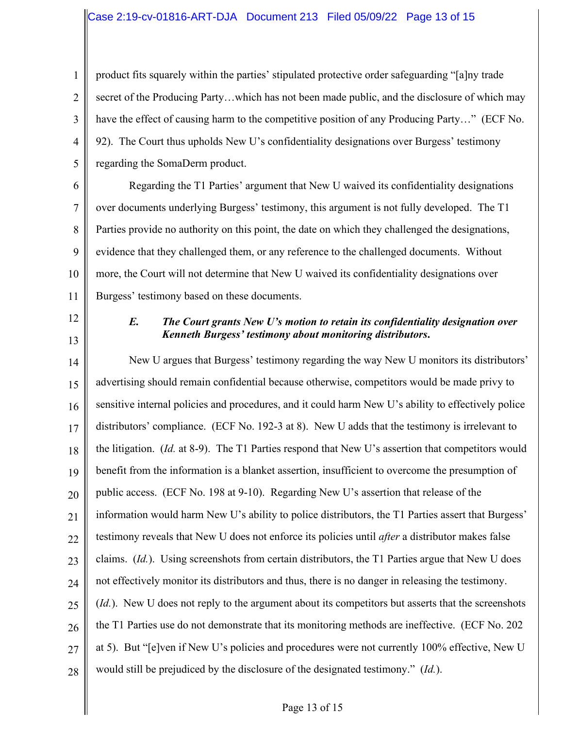1 2 3 4 5 product fits squarely within the parties' stipulated protective order safeguarding "[a]ny trade secret of the Producing Party…which has not been made public, and the disclosure of which may have the effect of causing harm to the competitive position of any Producing Party…" (ECF No. 92). The Court thus upholds New U's confidentiality designations over Burgess' testimony regarding the SomaDerm product.

6 7 8 9 10 11 Regarding the T1 Parties' argument that New U waived its confidentiality designations over documents underlying Burgess' testimony, this argument is not fully developed. The T1 Parties provide no authority on this point, the date on which they challenged the designations, evidence that they challenged them, or any reference to the challenged documents. Without more, the Court will not determine that New U waived its confidentiality designations over Burgess' testimony based on these documents.

- 12
- 13

# *E. The Court grants New U's motion to retain its confidentiality designation over Kenneth Burgess' testimony about monitoring distributors***.**

14 15 16 17 18 19 20 21 22 23 24 25 26 27 28 New U argues that Burgess' testimony regarding the way New U monitors its distributors' advertising should remain confidential because otherwise, competitors would be made privy to sensitive internal policies and procedures, and it could harm New U's ability to effectively police distributors' compliance. (ECF No. 192-3 at 8). New U adds that the testimony is irrelevant to the litigation. (*Id.* at 8-9). The T1 Parties respond that New U's assertion that competitors would benefit from the information is a blanket assertion, insufficient to overcome the presumption of public access. (ECF No. 198 at 9-10). Regarding New U's assertion that release of the information would harm New U's ability to police distributors, the T1 Parties assert that Burgess' testimony reveals that New U does not enforce its policies until *after* a distributor makes false claims. (*Id.*). Using screenshots from certain distributors, the T1 Parties argue that New U does not effectively monitor its distributors and thus, there is no danger in releasing the testimony. (*Id.*). New U does not reply to the argument about its competitors but asserts that the screenshots the T1 Parties use do not demonstrate that its monitoring methods are ineffective. (ECF No. 202 at 5). But "[e]ven if New U's policies and procedures were not currently 100% effective, New U would still be prejudiced by the disclosure of the designated testimony." (*Id.*).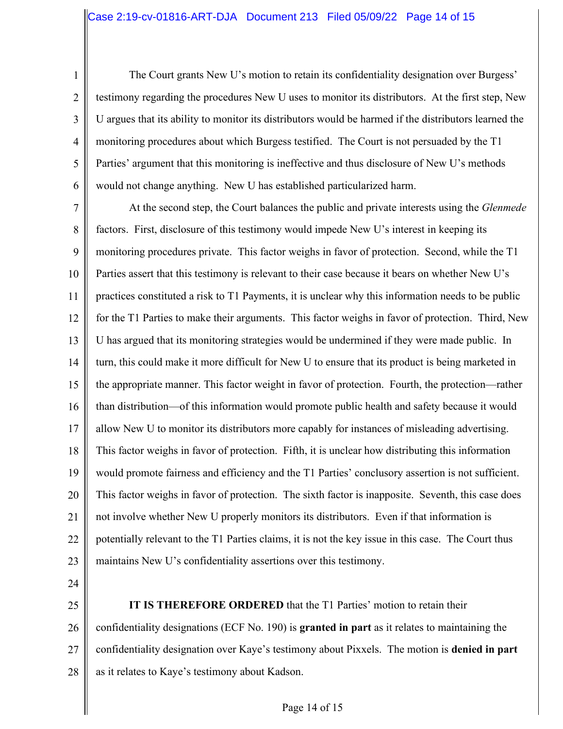1 2 3 4 5 6 The Court grants New U's motion to retain its confidentiality designation over Burgess' testimony regarding the procedures New U uses to monitor its distributors. At the first step, New U argues that its ability to monitor its distributors would be harmed if the distributors learned the monitoring procedures about which Burgess testified. The Court is not persuaded by the T1 Parties' argument that this monitoring is ineffective and thus disclosure of New U's methods would not change anything. New U has established particularized harm.

7 8 9 10 11 12 13 14 15 16 17 18 19 20 21 22 23 At the second step, the Court balances the public and private interests using the *Glenmede*  factors. First, disclosure of this testimony would impede New U's interest in keeping its monitoring procedures private. This factor weighs in favor of protection. Second, while the T1 Parties assert that this testimony is relevant to their case because it bears on whether New U's practices constituted a risk to T1 Payments, it is unclear why this information needs to be public for the T1 Parties to make their arguments. This factor weighs in favor of protection. Third, New U has argued that its monitoring strategies would be undermined if they were made public. In turn, this could make it more difficult for New U to ensure that its product is being marketed in the appropriate manner. This factor weight in favor of protection. Fourth, the protection—rather than distribution—of this information would promote public health and safety because it would allow New U to monitor its distributors more capably for instances of misleading advertising. This factor weighs in favor of protection. Fifth, it is unclear how distributing this information would promote fairness and efficiency and the T1 Parties' conclusory assertion is not sufficient. This factor weighs in favor of protection. The sixth factor is inapposite. Seventh, this case does not involve whether New U properly monitors its distributors. Even if that information is potentially relevant to the T1 Parties claims, it is not the key issue in this case. The Court thus maintains New U's confidentiality assertions over this testimony.

- 24
- 25

26 27 28 **IT IS THEREFORE ORDERED** that the T1 Parties' motion to retain their confidentiality designations (ECF No. 190) is **granted in part** as it relates to maintaining the confidentiality designation over Kaye's testimony about Pixxels. The motion is **denied in part**  as it relates to Kaye's testimony about Kadson.